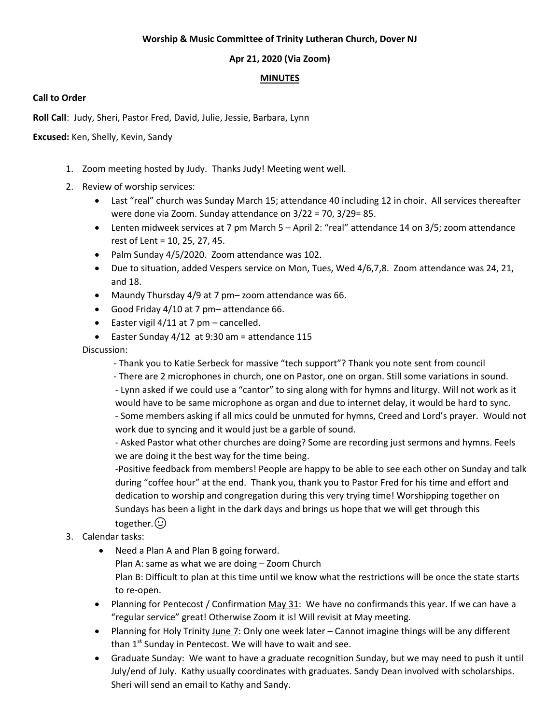#### **Worship & Music Committee of Trinity Lutheran Church, Dover NJ**

### **Apr 21, 2020 (Via Zoom)**

#### **MINUTES**

#### **Call to Order**

**Roll Call**: Judy, Sheri, Pastor Fred, David, Julie, Jessie, Barbara, Lynn

**Excused:** Ken, Shelly, Kevin, Sandy

- 1. Zoom meeting hosted by Judy. Thanks Judy! Meeting went well.
- 2. Review of worship services:
	- Last "real" church was Sunday March 15; attendance 40 including 12 in choir. All services thereafter were done via Zoom. Sunday attendance on 3/22 = 70, 3/29= 85.
	- Lenten midweek services at 7 pm March 5 April 2: "real" attendance 14 on 3/5; zoom attendance rest of Lent = 10, 25, 27, 45.
	- Palm Sunday 4/5/2020. Zoom attendance was 102.
	- Due to situation, added Vespers service on Mon, Tues, Wed 4/6,7,8. Zoom attendance was 24, 21, and 18.
	- Maundy Thursday 4/9 at 7 pm– zoom attendance was 66.
	- Good Friday 4/10 at 7 pm– attendance 66.
	- Easter vigil  $4/11$  at 7 pm cancelled.
	- Easter Sunday 4/12 at 9:30 am = attendance 115

Discussion:

- Thank you to Katie Serbeck for massive "tech support"? Thank you note sent from council

- There are 2 microphones in church, one on Pastor, one on organ. Still some variations in sound.

- Lynn asked if we could use a "cantor" to sing along with for hymns and liturgy. Will not work as it would have to be same microphone as organ and due to internet delay, it would be hard to sync.

- Some members asking if all mics could be unmuted for hymns, Creed and Lord's prayer. Would not work due to syncing and it would just be a garble of sound.

- Asked Pastor what other churches are doing? Some are recording just sermons and hymns. Feels we are doing it the best way for the time being.

-Positive feedback from members! People are happy to be able to see each other on Sunday and talk during "coffee hour" at the end. Thank you, thank you to Pastor Fred for his time and effort and dedication to worship and congregation during this very trying time! Worshipping together on Sundays has been a light in the dark days and brings us hope that we will get through this together. $\odot$ 

- 3. Calendar tasks:
	- Need a Plan A and Plan B going forward. Plan A: same as what we are doing – Zoom Church Plan B: Difficult to plan at this time until we know what the restrictions will be once the state starts to re-open.
	- Planning for Pentecost / Confirmation May 31: We have no confirmands this year. If we can have a "regular service" great! Otherwise Zoom it is! Will revisit at May meeting.
	- Planning for Holy Trinity June 7: Only one week later Cannot imagine things will be any different than  $1<sup>st</sup>$  Sunday in Pentecost. We will have to wait and see.
	- Graduate Sunday: We want to have a graduate recognition Sunday, but we may need to push it until July/end of July. Kathy usually coordinates with graduates. Sandy Dean involved with scholarships. Sheri will send an email to Kathy and Sandy.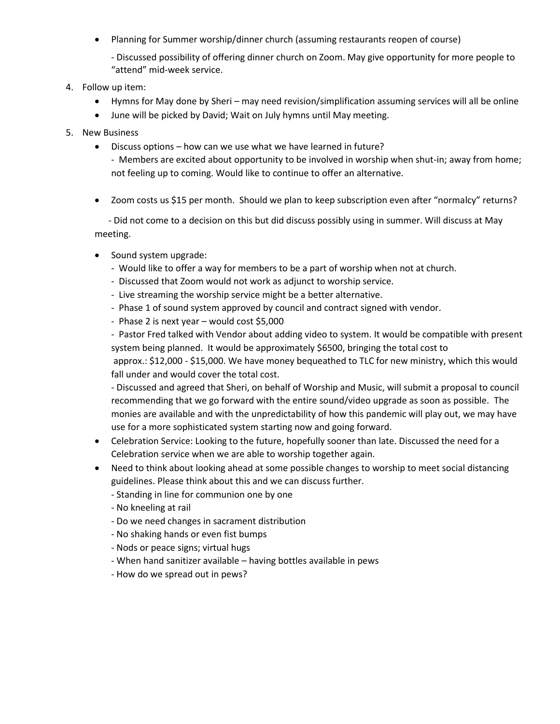Planning for Summer worship/dinner church (assuming restaurants reopen of course)

- Discussed possibility of offering dinner church on Zoom. May give opportunity for more people to "attend" mid-week service.

- 4. Follow up item:
	- Hymns for May done by Sheri may need revision/simplification assuming services will all be online
	- June will be picked by David; Wait on July hymns until May meeting.
- 5. New Business
	- Discuss options how can we use what we have learned in future?

- Members are excited about opportunity to be involved in worship when shut-in; away from home; not feeling up to coming. Would like to continue to offer an alternative.

Zoom costs us \$15 per month. Should we plan to keep subscription even after "normalcy" returns?

 - Did not come to a decision on this but did discuss possibly using in summer. Will discuss at May meeting.

- Sound system upgrade:
	- Would like to offer a way for members to be a part of worship when not at church.
	- Discussed that Zoom would not work as adjunct to worship service.
	- Live streaming the worship service might be a better alternative.
	- Phase 1 of sound system approved by council and contract signed with vendor.
	- Phase 2 is next year would cost \$5,000

- Pastor Fred talked with Vendor about adding video to system. It would be compatible with present system being planned. It would be approximately \$6500, bringing the total cost to approx.: \$12,000 - \$15,000. We have money bequeathed to TLC for new ministry, which this would

fall under and would cover the total cost.

- Discussed and agreed that Sheri, on behalf of Worship and Music, will submit a proposal to council recommending that we go forward with the entire sound/video upgrade as soon as possible. The monies are available and with the unpredictability of how this pandemic will play out, we may have use for a more sophisticated system starting now and going forward.

- Celebration Service: Looking to the future, hopefully sooner than late. Discussed the need for a Celebration service when we are able to worship together again.
- Need to think about looking ahead at some possible changes to worship to meet social distancing guidelines. Please think about this and we can discuss further.
	- Standing in line for communion one by one
	- No kneeling at rail
	- Do we need changes in sacrament distribution
	- No shaking hands or even fist bumps
	- Nods or peace signs; virtual hugs
	- When hand sanitizer available having bottles available in pews
	- How do we spread out in pews?